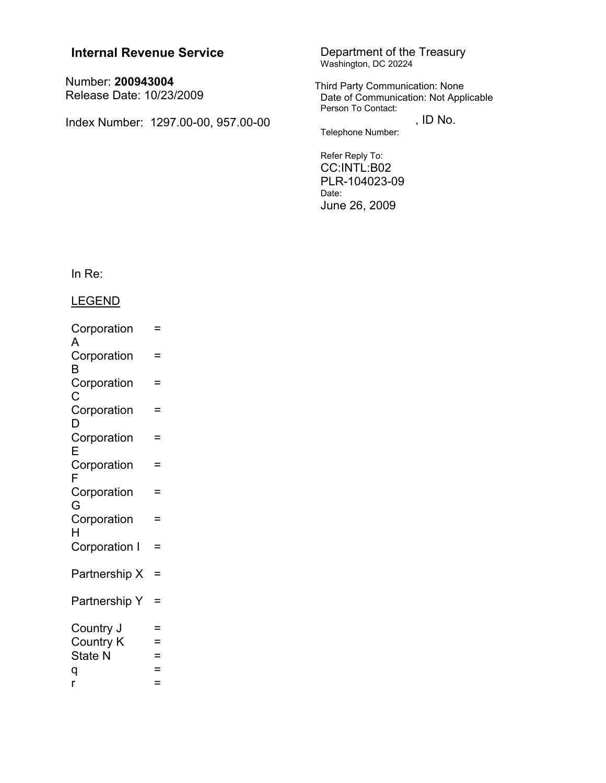# **Internal Revenue Service**

Number: 200943004 Release Date: 10/23/2009

Index Number: 1297.00-00, 957.00-00

Department of the Treasury<br>Washington, DC 20224

Third Party Communication: None<br>Date of Communication: Not Applicable Person To Contact:

, ID No. Telephone Number:

Refer Reply To: CC:INTL:B02 PLR-104023-09 Date:

June 26, 2009

In  $Re:$ 

**LEGEND** 

| Corporation           | =   |
|-----------------------|-----|
| A<br>Corporation<br>B | =   |
| Corporation<br>C      | =   |
| Corporation<br>D      | =   |
| Corporation<br>E      | =   |
| Corporation<br>F      | $=$ |
| Corporation<br>G      | =   |
| Corporation<br>н      | $=$ |
| Corporation I         | $=$ |
| Partnership X         | =   |
| Partnership Y         | =   |
| Country J             | =   |
| <b>Country K</b>      | =   |
| <b>State N</b>        | $=$ |
| q                     | =   |
| r                     | =   |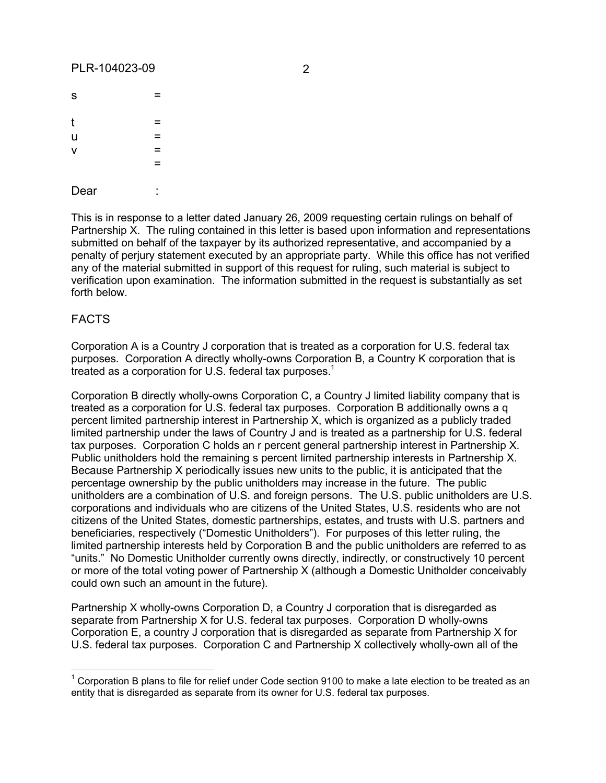Dear :

| $\mathbf S$    | = |
|----------------|---|
| $\mathfrak{t}$ | = |
| u<br>v         | = |
|                | Ξ |
|                | = |
|                |   |

This is in response to a letter dated January 26, 2009 requesting certain rulings on behalf of Partnership X. The ruling contained in this letter is based upon information and representations submitted on behalf of the taxpayer by its authorized representative, and accompanied by a penalty of perjury statement executed by an appropriate party. While this office has not verified any of the material submitted in support of this request for ruling, such material is subject to verification upon examination. The information submitted in the request is substantially as set forth below.

## FACTS

Corporation A is a Country J corporation that is treated as a corporation for U.S. federal tax purposes. Corporation A directly wholly-owns Corporation B, a Country K corporation that is treated as a corporation for U.S. federal tax purposes.<sup>1</sup>

Corporation B directly wholly-owns Corporation C, a Country J limited liability company that is treated as a corporation for U.S. federal tax purposes. Corporation B additionally owns a q percent limited partnership interest in Partnership X, which is organized as a publicly traded limited partnership under the laws of Country J and is treated as a partnership for U.S. federal tax purposes. Corporation C holds an r percent general partnership interest in Partnership X. Public unitholders hold the remaining s percent limited partnership interests in Partnership X. Because Partnership X periodically issues new units to the public, it is anticipated that the percentage ownership by the public unitholders may increase in the future. The public unitholders are a combination of U.S. and foreign persons. The U.S. public unitholders are U.S. corporations and individuals who are citizens of the United States, U.S. residents who are not citizens of the United States, domestic partnerships, estates, and trusts with U.S. partners and beneficiaries, respectively ("Domestic Unitholders"). For purposes of this letter ruling, the limited partnership interests held by Corporation B and the public unitholders are referred to as "units." No Domestic Unitholder currently owns directly, indirectly, or constructively 10 percent or more of the total voting power of Partnership X (although a Domestic Unitholder conceivably could own such an amount in the future).

Partnership X wholly-owns Corporation D, a Country J corporation that is disregarded as separate from Partnership X for U.S. federal tax purposes. Corporation D wholly-owns Corporation E, a country J corporation that is disregarded as separate from Partnership X for U.S. federal tax purposes. Corporation C and Partnership X collectively wholly-own all of the

 $1$  Corporation B plans to file for relief under Code section 9100 to make a late election to be treated as an entity that is disregarded as separate from its owner for U.S. federal tax purposes.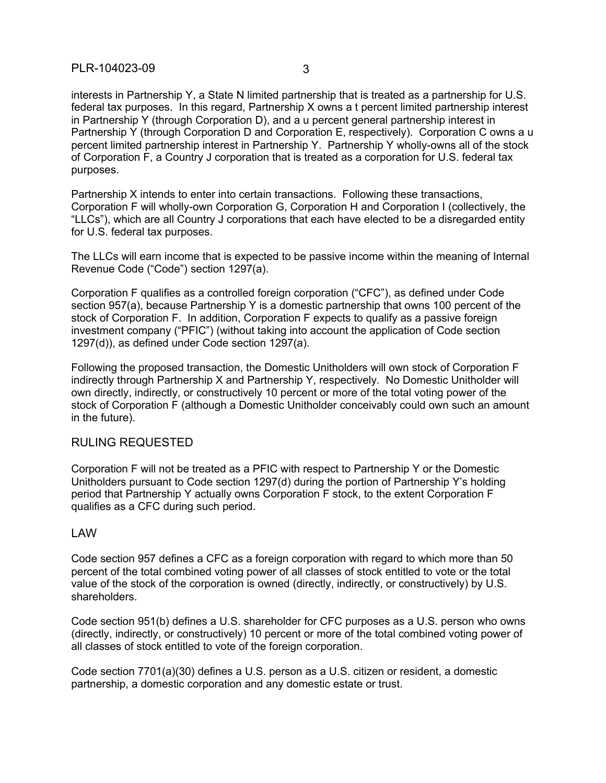## PLR-104023-09 3

interests in Partnership Y, a State N limited partnership that is treated as a partnership for U.S. federal tax purposes. In this regard, Partnership X owns a t percent limited partnership interest in Partnership Y (through Corporation D), and a u percent general partnership interest in Partnership Y (through Corporation D and Corporation E, respectively). Corporation C owns a u percent limited partnership interest in Partnership Y. Partnership Y wholly-owns all of the stock of Corporation F, a Country J corporation that is treated as a corporation for U.S. federal tax purposes.

Partnership X intends to enter into certain transactions. Following these transactions, Corporation F will wholly-own Corporation G, Corporation H and Corporation I (collectively, the "LLCs"), which are all Country J corporations that each have elected to be a disregarded entity for U.S. federal tax purposes.

The LLCs will earn income that is expected to be passive income within the meaning of Internal Revenue Code ("Code") section 1297(a).

Corporation F qualifies as a controlled foreign corporation ("CFC"), as defined under Code section 957(a), because Partnership Y is a domestic partnership that owns 100 percent of the stock of Corporation F. In addition, Corporation F expects to qualify as a passive foreign investment company ("PFIC") (without taking into account the application of Code section 1297(d)), as defined under Code section 1297(a).

Following the proposed transaction, the Domestic Unitholders will own stock of Corporation F indirectly through Partnership X and Partnership Y, respectively. No Domestic Unitholder will own directly, indirectly, or constructively 10 percent or more of the total voting power of the stock of Corporation F (although a Domestic Unitholder conceivably could own such an amount in the future).

## RULING REQUESTED

Corporation F will not be treated as a PFIC with respect to Partnership Y or the Domestic Unitholders pursuant to Code section 1297(d) during the portion of Partnership Y's holding period that Partnership Y actually owns Corporation F stock, to the extent Corporation F qualifies as a CFC during such period.

### LAW

Code section 957 defines a CFC as a foreign corporation with regard to which more than 50 percent of the total combined voting power of all classes of stock entitled to vote or the total value of the stock of the corporation is owned (directly, indirectly, or constructively) by U.S. shareholders.

Code section 951(b) defines a U.S. shareholder for CFC purposes as a U.S. person who owns (directly, indirectly, or constructively) 10 percent or more of the total combined voting power of all classes of stock entitled to vote of the foreign corporation.

Code section 7701(a)(30) defines a U.S. person as a U.S. citizen or resident, a domestic partnership, a domestic corporation and any domestic estate or trust.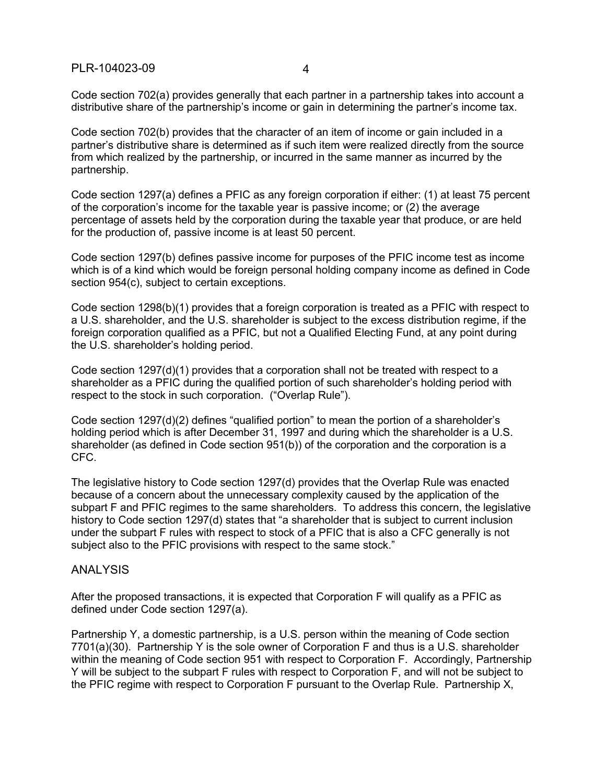Code section 702(a) provides generally that each partner in a partnership takes into account a distributive share of the partnership's income or gain in determining the partner's income tax.

Code section 702(b) provides that the character of an item of income or gain included in a partner's distributive share is determined as if such item were realized directly from the source from which realized by the partnership, or incurred in the same manner as incurred by the partnership.

Code section 1297(a) defines a PFIC as any foreign corporation if either: (1) at least 75 percent of the corporation's income for the taxable year is passive income; or (2) the average percentage of assets held by the corporation during the taxable year that produce, or are held for the production of, passive income is at least 50 percent.

Code section 1297(b) defines passive income for purposes of the PFIC income test as income which is of a kind which would be foreign personal holding company income as defined in Code section 954(c), subject to certain exceptions.

Code section 1298(b)(1) provides that a foreign corporation is treated as a PFIC with respect to a U.S. shareholder, and the U.S. shareholder is subject to the excess distribution regime, if the foreign corporation qualified as a PFIC, but not a Qualified Electing Fund, at any point during the U.S. shareholder's holding period.

Code section 1297(d)(1) provides that a corporation shall not be treated with respect to a shareholder as a PFIC during the qualified portion of such shareholder's holding period with respect to the stock in such corporation. ("Overlap Rule").

Code section 1297(d)(2) defines "qualified portion" to mean the portion of a shareholder's holding period which is after December 31, 1997 and during which the shareholder is a U.S. shareholder (as defined in Code section 951(b)) of the corporation and the corporation is a CFC.

The legislative history to Code section 1297(d) provides that the Overlap Rule was enacted because of a concern about the unnecessary complexity caused by the application of the subpart F and PFIC regimes to the same shareholders. To address this concern, the legislative history to Code section 1297(d) states that "a shareholder that is subject to current inclusion under the subpart F rules with respect to stock of a PFIC that is also a CFC generally is not subject also to the PFIC provisions with respect to the same stock."

### ANALYSIS

After the proposed transactions, it is expected that Corporation F will qualify as a PFIC as defined under Code section 1297(a).

Partnership Y, a domestic partnership, is a U.S. person within the meaning of Code section 7701(a)(30). Partnership Y is the sole owner of Corporation F and thus is a U.S. shareholder within the meaning of Code section 951 with respect to Corporation F. Accordingly, Partnership Y will be subject to the subpart F rules with respect to Corporation F, and will not be subject to the PFIC regime with respect to Corporation F pursuant to the Overlap Rule. Partnership X,